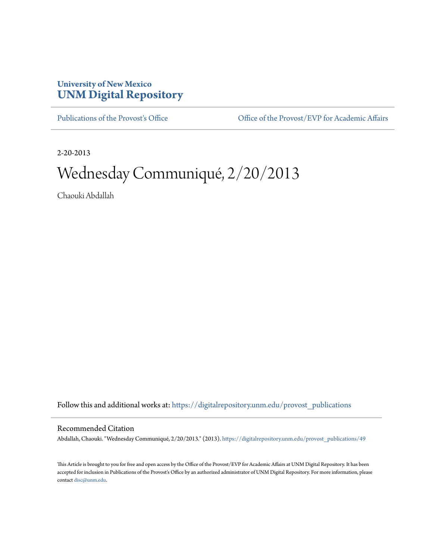## **University of New Mexico [UNM Digital Repository](https://digitalrepository.unm.edu?utm_source=digitalrepository.unm.edu%2Fprovost_publications%2F49&utm_medium=PDF&utm_campaign=PDFCoverPages)**

[Publications of the Provost's Office](https://digitalrepository.unm.edu/provost_publications?utm_source=digitalrepository.unm.edu%2Fprovost_publications%2F49&utm_medium=PDF&utm_campaign=PDFCoverPages) Office [Office of the Provost/EVP for Academic Affairs](https://digitalrepository.unm.edu/ofc_provost?utm_source=digitalrepository.unm.edu%2Fprovost_publications%2F49&utm_medium=PDF&utm_campaign=PDFCoverPages)

2-20-2013

# Wednesday Communiqué, 2/20/2013

Chaouki Abdallah

Follow this and additional works at: [https://digitalrepository.unm.edu/provost\\_publications](https://digitalrepository.unm.edu/provost_publications?utm_source=digitalrepository.unm.edu%2Fprovost_publications%2F49&utm_medium=PDF&utm_campaign=PDFCoverPages)

## Recommended Citation

Abdallah, Chaouki. "Wednesday Communiqué, 2/20/2013." (2013). [https://digitalrepository.unm.edu/provost\\_publications/49](https://digitalrepository.unm.edu/provost_publications/49?utm_source=digitalrepository.unm.edu%2Fprovost_publications%2F49&utm_medium=PDF&utm_campaign=PDFCoverPages)

This Article is brought to you for free and open access by the Office of the Provost/EVP for Academic Affairs at UNM Digital Repository. It has been accepted for inclusion in Publications of the Provost's Office by an authorized administrator of UNM Digital Repository. For more information, please contact [disc@unm.edu.](mailto:disc@unm.edu)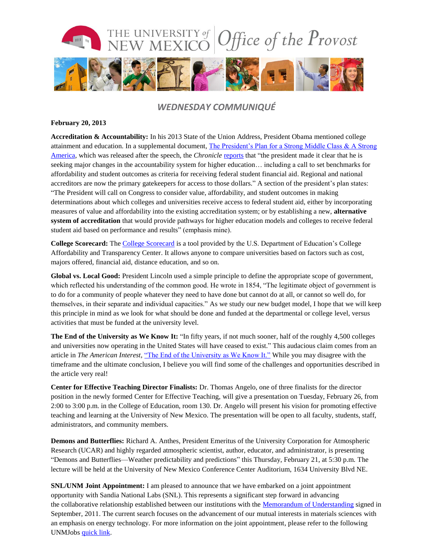

## *WEDNESDAY COMMUNIQUÉ*

#### **February 20, 2013**

**Accreditation & Accountability:** In his 2013 State of the Union Address, President Obama mentioned college attainment and education. In a supplemental document[, The President's Plan for a Strong Middle Class & A Strong](http://www.whitehouse.gov/sites/default/files/uploads/sotu_2013_blueprint_embargo.pdf)  [America,](http://www.whitehouse.gov/sites/default/files/uploads/sotu_2013_blueprint_embargo.pdf) which was released after the speech, the *Chronicle* [reports](http://chronicle.com/article/Obamas-Accreditation/137311/) that "the president made it clear that he is seeking major changes in the accountability system for higher education… including a call to set benchmarks for affordability and student outcomes as criteria for receiving federal student financial aid. Regional and national accreditors are now the primary gatekeepers for access to those dollars." A section of the president's plan states: "The President will call on Congress to consider value, affordability, and student outcomes in making determinations about which colleges and universities receive access to federal student aid, either by incorporating measures of value and affordability into the existing accreditation system; or by establishing a new, **alternative system of accreditation** that would provide pathways for higher education models and colleges to receive federal student aid based on performance and results" (emphasis mine).

**College Scorecard:** The [College Scorecard](http://www.whitehouse.gov/issues/education/higher-education/college-score-card) is a tool provided by the U.S. Department of Education's College Affordability and Transparency Center. It allows anyone to compare universities based on factors such as cost, majors offered, financial aid, distance education, and so on.

**Global vs. Local Good:** President Lincoln used a simple principle to define the appropriate scope of government, which reflected his understanding of the common good. He wrote in 1854, "The legitimate object of government is to do for a community of people whatever they need to have done but cannot do at all, or cannot so well do, for themselves, in their separate and individual capacities." As we study our new budget model, I hope that we will keep this principle in mind as we look for what should be done and funded at the departmental or college level, versus activities that must be funded at the university level.

**The End of the University as We Know It:** "In fifty years, if not much sooner, half of the roughly 4,500 colleges and universities now operating in the United States will have ceased to exist." This audacious claim comes from an article in *The American Interest*, ["The End of the University as We Know It."](http://www.the-american-interest.com/article.cfm?buffer_share=74e54&piece=1352.) While you may disagree with the timeframe and the ultimate conclusion, I believe you will find some of the challenges and opportunities described in the article very real!

**Center for Effective Teaching Director Finalists:** Dr. Thomas Angelo, one of three finalists for the director position in the newly formed Center for Effective Teaching, will give a presentation on Tuesday, February 26, from 2:00 to 3:00 p.m. in the College of Education, room 130. Dr. Angelo will present his vision for promoting effective teaching and learning at the University of New Mexico. The presentation will be open to all faculty, students, staff, administrators, and community members.

**Demons and Butterflies:** Richard A. Anthes, President Emeritus of the University Corporation for Atmospheric Research (UCAR) and highly regarded atmospheric scientist, author, educator, and administrator, is presenting "Demons and Butterflies—Weather predictability and predictions" this Thursday, February 21, at 5:30 p.m. The lecture will be held at the University of New Mexico Conference Center Auditorium, 1634 University Blvd NE.

**SNL/UNM Joint Appointment:** I am pleased to announce that we have embarked on a joint appointment opportunity with Sandia National Labs (SNL). This represents a significant step forward in advancing the collaborative relationship established between our institutions with the [Memorandum of Understanding](http://research.unm.edu/partnerships/UNM-SandiaMOU911.pdf) signed in September, 2011. The current search focuses on the advancement of our mutual interests in materials sciences with an emphasis on energy technology. For more information on the joint appointment, please refer to the following UNMJob[s quick link.](file:///C:/Users/suilmann.COLLEGES/AppData/Local/Microsoft/Windows/Temporary%20Internet%20Files/Content.Outlook/2BUCLIKC/unmjobs.unm.edu/applicants/Central%3fquickFind=71501)